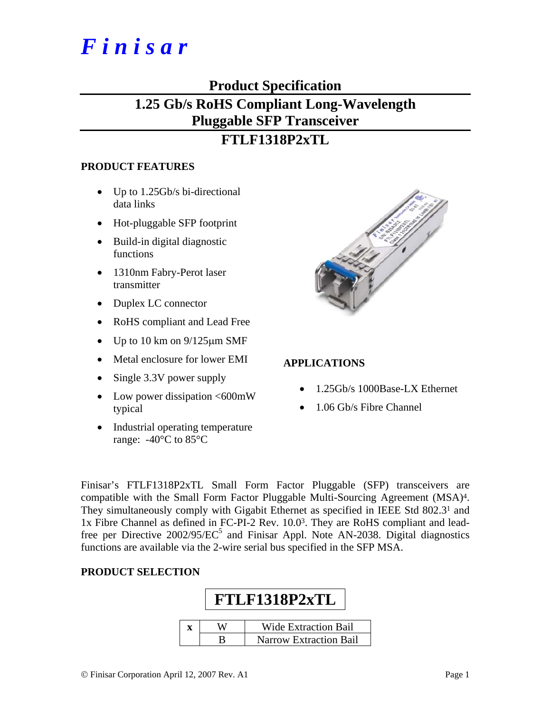# *F i n i s a r*

### **Product Specification**

## **1.25 Gb/s RoHS Compliant Long-Wavelength Pluggable SFP Transceiver**

### **FTLF1318P2xTL**

#### **PRODUCT FEATURES**

- Up to 1.25Gb/s bi-directional data links
- Hot-pluggable SFP footprint
- Build-in digital diagnostic functions
- 1310nm Fabry-Perot laser transmitter
- Duplex LC connector
- RoHS compliant and Lead Free
- Up to 10 km on  $9/125 \mu m$  SMF
- Metal enclosure for lower EMI
- Single 3.3V power supply
- Low power dissipation  $<600$ mW typical
- Industrial operating temperature range:  $-40\degree$ C to 85 $\degree$ C



#### **APPLICATIONS**

- 1.25Gb/s 1000Base-LX Ethernet
- 1.06 Gb/s Fibre Channel

Finisar's FTLF1318P2xTL Small Form Factor Pluggable (SFP) transceivers are compatible with the Small Form Factor Pluggable Multi-Sourcing Agreement (MSA)4. They simultaneously comply with Gigabit Ethernet as specified in IEEE Std 802.31 and 1x Fibre Channel as defined in FC-PI-2 Rev. 10.03. They are RoHS compliant and leadfree per Directive  $2002/95/EC^5$  and Finisar Appl. Note AN-2038. Digital diagnostics functions are available via the 2-wire serial bus specified in the SFP MSA.

#### **PRODUCT SELECTION**

## **FTLF1318P2xTL x** | **W** | **Wide Extraction Bail** B Narrow Extraction Bail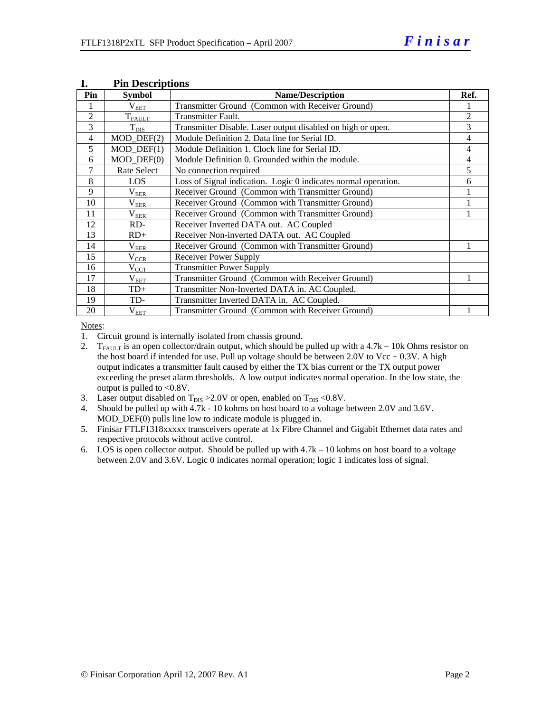| Pin            | <b>Symbol</b>     | <b>Name/Description</b>                                        | Ref.           |
|----------------|-------------------|----------------------------------------------------------------|----------------|
|                | $\rm V_{\rm EET}$ | Transmitter Ground (Common with Receiver Ground)               |                |
| $\overline{2}$ | $T_{FALLT}$       | <b>Transmitter Fault.</b>                                      | $\overline{2}$ |
| 3              | $T_{\rm DIS}$     | Transmitter Disable. Laser output disabled on high or open.    | 3              |
| $\overline{4}$ | $MOD_$ DEF(2)     | Module Definition 2. Data line for Serial ID.                  | 4              |
| 5              | $MOD_$ DEF(1)     | Module Definition 1. Clock line for Serial ID.                 | 4              |
| 6              | $MOD_$ DEF $(0)$  | Module Definition 0. Grounded within the module.               | 4              |
| 7              | Rate Select       | No connection required                                         | 5              |
| 8              | LOS               | Loss of Signal indication. Logic 0 indicates normal operation. | 6              |
| 9              | $\rm V_{EER}$     | Receiver Ground (Common with Transmitter Ground)               |                |
| 10             | $\rm V_{EER}$     | Receiver Ground (Common with Transmitter Ground)               |                |
| 11             | $\rm V_{\rm EER}$ | Receiver Ground (Common with Transmitter Ground)               |                |
| 12             | RD-               | Receiver Inverted DATA out. AC Coupled                         |                |
| 13             | $RD+$             | Receiver Non-inverted DATA out. AC Coupled                     |                |
| 14             | $\rm V_{EER}$     | Receiver Ground (Common with Transmitter Ground)               |                |
| 15             | $V_{CR}$          | Receiver Power Supply                                          |                |
| 16             | $V_{\rm CCT}$     | <b>Transmitter Power Supply</b>                                |                |
| 17             | $V_{EET}$         | Transmitter Ground (Common with Receiver Ground)               |                |
| 18             | TD+               | Transmitter Non-Inverted DATA in. AC Coupled.                  |                |
| 19             | TD-               | Transmitter Inverted DATA in. AC Coupled.                      |                |
| 20             | $\rm V_{EET}$     | Transmitter Ground (Common with Receiver Ground)               |                |

#### **I. Pin Descriptions**

Notes:

1. Circuit ground is internally isolated from chassis ground.

- 2. T<sub>FAULT</sub> is an open collector/drain output, which should be pulled up with a 4.7k 10k Ohms resistor on the host board if intended for use. Pull up voltage should be between  $2.0V$  to Vcc +  $0.3V$ . A high output indicates a transmitter fault caused by either the TX bias current or the TX output power exceeding the preset alarm thresholds. A low output indicates normal operation. In the low state, the output is pulled to <0.8V.
- 3. Laser output disabled on  $T_{DIS} > 2.0V$  or open, enabled on  $T_{DIS} < 0.8V$ .
- 4. Should be pulled up with 4.7k 10 kohms on host board to a voltage between 2.0V and 3.6V. MOD\_DEF(0) pulls line low to indicate module is plugged in.
- 5. Finisar FTLF1318xxxxx transceivers operate at 1x Fibre Channel and Gigabit Ethernet data rates and respective protocols without active control.
- 6. LOS is open collector output. Should be pulled up with  $4.7k 10$  kohms on host board to a voltage between 2.0V and 3.6V. Logic 0 indicates normal operation; logic 1 indicates loss of signal.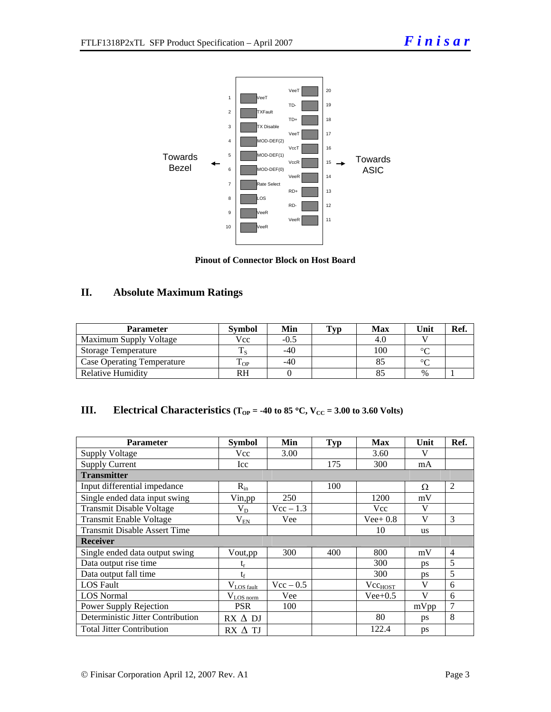

**Pinout of Connector Block on Host Board** 

#### **II. Absolute Maximum Ratings**

| <b>Parameter</b>                  | <b>Symbol</b> | Min  | Typ | Max | Unit   | Ref. |
|-----------------------------------|---------------|------|-----|-----|--------|------|
| Maximum Supply Voltage            | Vcc           | -0.5 |     | 4.U |        |      |
| <b>Storage Temperature</b>        |               | -40  |     | 100 | $\sim$ |      |
| <b>Case Operating Temperature</b> | m<br>L OP     | -40  |     |     | $\sim$ |      |
| Relative Humidity                 | RH            |      |     |     | %      |      |

| Ш. | Electrical Characteristics ( $T_{OP}$ = -40 to 85 °C, $V_{CC}$ = 3.00 to 3.60 Volts) |  |
|----|--------------------------------------------------------------------------------------|--|
|----|--------------------------------------------------------------------------------------|--|

| <b>Parameter</b>                    | <b>Symbol</b>   | Min         | <b>Typ</b> | <b>Max</b>          | Unit      | Ref.           |  |
|-------------------------------------|-----------------|-------------|------------|---------------------|-----------|----------------|--|
| <b>Supply Voltage</b>               | Vcc             | 3.00        |            | 3.60                | V         |                |  |
| <b>Supply Current</b>               | Icc             |             | 175        | 300                 | mA        |                |  |
| <b>Transmitter</b>                  |                 |             |            |                     |           |                |  |
| Input differential impedance        | $R_{in}$        |             | 100        |                     | Ω         | 2              |  |
| Single ended data input swing       | Vin, pp         | 250         |            | 1200                | mV        |                |  |
| <b>Transmit Disable Voltage</b>     | $\rm V_{D}$     | $Vec - 1.3$ |            | <b>Vcc</b>          | V         |                |  |
| <b>Transmit Enable Voltage</b>      | $\rm V_{EN}$    | Vee         |            | $Vee+0.8$           | V         | 3              |  |
| <b>Transmit Disable Assert Time</b> |                 |             |            | 10                  | <b>us</b> |                |  |
| <b>Receiver</b>                     |                 |             |            |                     |           |                |  |
| Single ended data output swing      | Vout, pp        | 300         | 400        | 800                 | mV        | $\overline{4}$ |  |
| Data output rise time               | t,              |             |            | 300                 | <b>ps</b> | 5              |  |
| Data output fall time               | $t_{\rm f}$     |             |            | 300                 | <b>DS</b> | 5              |  |
| <b>LOS</b> Fault                    | $V_{LOS$ fault  | $Vec - 0.5$ |            | Vcc <sub>HOST</sub> | V         | 6              |  |
| <b>LOS Normal</b>                   | $V_{LOS\,norm}$ | Vee         |            | $Vee+0.5$           | V         | 6              |  |
| Power Supply Rejection              | <b>PSR</b>      | 100         |            |                     | mVpp      | 7              |  |
| Deterministic Jitter Contribution   | $RX \Delta DI$  |             |            | 80                  | ps        | 8              |  |
| <b>Total Jitter Contribution</b>    | $RX \wedge TI$  |             |            | 122.4               | ps        |                |  |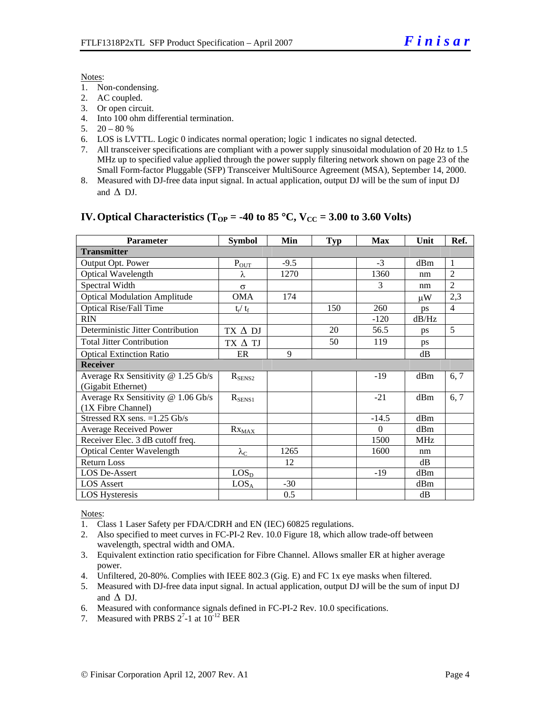#### Notes:

- 1. Non-condensing.
- 2. AC coupled.
- 3. Or open circuit.
- 4. Into 100 ohm differential termination.
- 5.  $20 80 %$
- 6. LOS is LVTTL. Logic 0 indicates normal operation; logic 1 indicates no signal detected.
- 7. All transceiver specifications are compliant with a power supply sinusoidal modulation of 20 Hz to 1.5 MHz up to specified value applied through the power supply filtering network shown on page 23 of the Small Form-factor Pluggable (SFP) Transceiver MultiSource Agreement (MSA), September 14, 2000.
- 8. Measured with DJ-free data input signal. In actual application, output DJ will be the sum of input DJ and  $\Lambda$  DJ.

#### **IV. Optical Characteristics (T<sub>OP</sub> = -40 to 85 °C, V<sub>CC</sub> = 3.00 to 3.60 Volts)**

| <b>Parameter</b>                    | <b>Symbol</b>          | Min    | <b>Typ</b> | <b>Max</b> | Unit       | Ref.           |
|-------------------------------------|------------------------|--------|------------|------------|------------|----------------|
| <b>Transmitter</b>                  |                        |        |            |            |            |                |
| Output Opt. Power                   | $P_{OT}$               | $-9.5$ |            | $-3$       | dBm        | -1             |
| Optical Wavelength                  | λ                      | 1270   |            | 1360       | nm         | $\overline{2}$ |
| Spectral Width                      | $\sigma$               |        |            | 3          | nm         | $\mathfrak{D}$ |
| <b>Optical Modulation Amplitude</b> | <b>OMA</b>             | 174    |            |            | иW         | 2,3            |
| <b>Optical Rise/Fall Time</b>       | $t_r/ t_f$             |        | 150        | 260        | ps         | $\overline{4}$ |
| <b>RIN</b>                          |                        |        |            | $-120$     | dB/Hz      |                |
| Deterministic Jitter Contribution   | $TX \Delta DI$         |        | 20         | 56.5       | ps         | 5              |
| <b>Total Jitter Contribution</b>    | TX A TJ                |        | 50         | 119        | ps         |                |
| <b>Optical Extinction Ratio</b>     | ER                     | 9      |            |            | dB         |                |
| <b>Receiver</b>                     |                        |        |            |            |            |                |
| Average Rx Sensitivity @ 1.25 Gb/s  | $R_{\text{SENS2}}$     |        |            | -19        | dBm        | 6, 7           |
| (Gigabit Ethernet)                  |                        |        |            |            |            |                |
| Average Rx Sensitivity @ 1.06 Gb/s  | $R_{SENS1}$            |        |            | $-21$      | dBm        | 6, 7           |
| (1X Fibre Channel)                  |                        |        |            |            |            |                |
| Stressed RX sens. $=1.25$ Gb/s      |                        |        |            | $-14.5$    | dBm        |                |
| <b>Average Received Power</b>       | $Rx_{\underline{MAX}}$ |        |            | $\Omega$   | dBm        |                |
| Receiver Elec. 3 dB cutoff freq.    |                        |        |            | 1500       | <b>MHz</b> |                |
| <b>Optical Center Wavelength</b>    | $\lambda_{\text{C}}$   | 1265   |            | 1600       | nm         |                |
| <b>Return Loss</b>                  |                        | 12     |            |            | dB         |                |
| LOS De-Assert                       | LOS <sub>D</sub>       |        |            | $-19$      | dBm        |                |
| <b>LOS</b> Assert                   | LOS <sub>A</sub>       | $-30$  |            |            | dBm        |                |
| <b>LOS</b> Hysteresis               |                        | 0.5    |            |            | dB         |                |

Notes:

- 1. Class 1 Laser Safety per FDA/CDRH and EN (IEC) 60825 regulations.
- 2. Also specified to meet curves in FC-PI-2 Rev. 10.0 Figure 18, which allow trade-off between wavelength, spectral width and OMA.
- 3. Equivalent extinction ratio specification for Fibre Channel. Allows smaller ER at higher average power.
- 4. Unfiltered, 20-80%. Complies with IEEE 802.3 (Gig. E) and FC 1x eye masks when filtered.
- 5. Measured with DJ-free data input signal. In actual application, output DJ will be the sum of input DJ and  $\triangle$  DJ.
- 6. Measured with conformance signals defined in FC-PI-2 Rev. 10.0 specifications.
- 7. Measured with PRBS  $2^7$ -1 at  $10^{-12}$  BER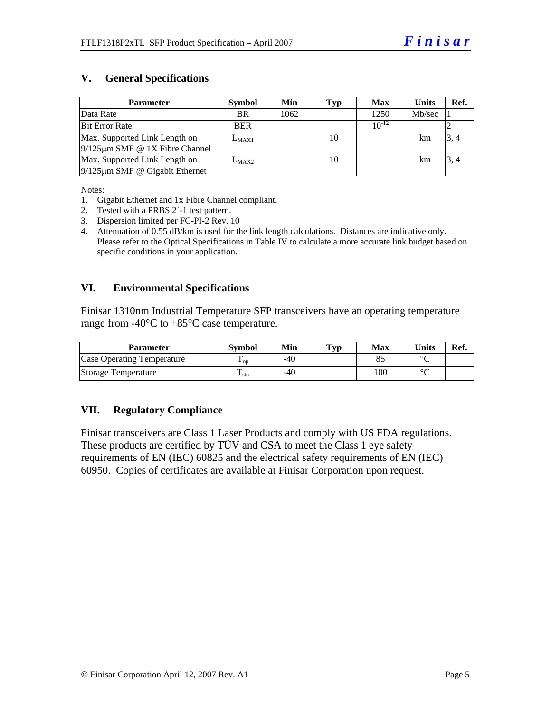#### **V. General Specifications**

| <b>Parameter</b>                     | <b>Symbol</b> | Min  | Typ | <b>Max</b> | <b>Units</b> | Ref. |
|--------------------------------------|---------------|------|-----|------------|--------------|------|
| Data Rate                            | BR.           | 1062 |     | 1250       | Mb/sec       |      |
| <b>Bit Error Rate</b>                | <b>BER</b>    |      |     | $10^{-12}$ |              |      |
| Max. Supported Link Length on        | $L_{MAX1}$    |      | 10  |            | km           | 3, 4 |
| $9/125 \mu m$ SMF @ 1X Fibre Channel |               |      |     |            |              |      |
| Max. Supported Link Length on        | $L_{MAX2}$    |      | 10  |            | km           | 3, 4 |
| $9/125 \mu m$ SMF @ Gigabit Ethernet |               |      |     |            |              |      |

Notes:

- 1. Gigabit Ethernet and 1x Fibre Channel compliant.
- 2. Tested with a PRBS  $2^7$ -1 test pattern.
- 3. Dispersion limited per FC-PI-2 Rev. 10
- 4. Attenuation of 0.55 dB/km is used for the link length calculations. Distances are indicative only. Please refer to the Optical Specifications in Table IV to calculate a more accurate link budget based on specific conditions in your application.

#### **VI. Environmental Specifications**

Finisar 1310nm Industrial Temperature SFP transceivers have an operating temperature range from -40 $\rm ^{o}C$  to +85 $\rm ^{o}C$  case temperature.

| Parameter                         | Svmbol            | Min   | $\mathbf{T}_{\mathbf{V}\mathbf{p}}$ | Max | <b>Units</b> | Ref. |
|-----------------------------------|-------------------|-------|-------------------------------------|-----|--------------|------|
| <b>Case Operating Temperature</b> | $\mathbf{L}_{OD}$ | -40   |                                     |     | $\sim$       |      |
| Storage Temperature               | ᠇᠇<br>$\pm$ sto   | $-40$ |                                     | 100 | $\sim$       |      |

#### **VII. Regulatory Compliance**

Finisar transceivers are Class 1 Laser Products and comply with US FDA regulations. These products are certified by TÜV and CSA to meet the Class 1 eye safety requirements of EN (IEC) 60825 and the electrical safety requirements of EN (IEC) 60950. Copies of certificates are available at Finisar Corporation upon request.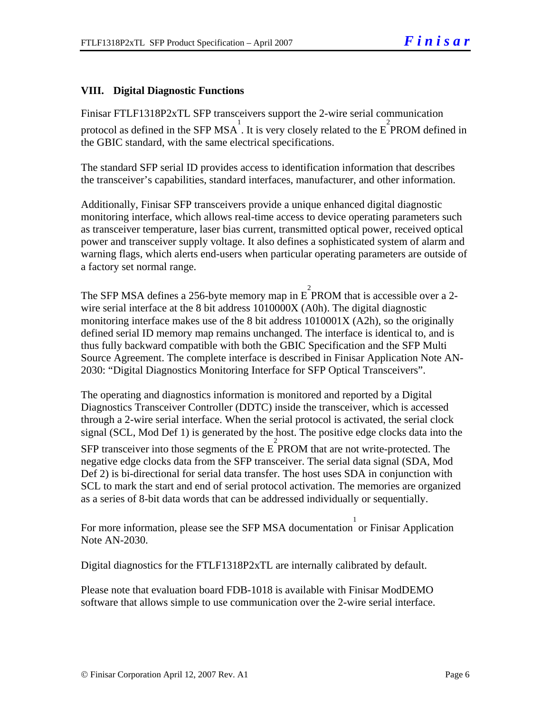#### **VIII. Digital Diagnostic Functions**

Finisar FTLF1318P2xTL SFP transceivers support the 2-wire serial communication protocol as defined in the SFP MSA. It is very closely related to the  $E^2$  PROM defined in the GBIC standard, with the same electrical specifications.

The standard SFP serial ID provides access to identification information that describes the transceiver's capabilities, standard interfaces, manufacturer, and other information.

Additionally, Finisar SFP transceivers provide a unique enhanced digital diagnostic monitoring interface, which allows real-time access to device operating parameters such as transceiver temperature, laser bias current, transmitted optical power, received optical power and transceiver supply voltage. It also defines a sophisticated system of alarm and warning flags, which alerts end-users when particular operating parameters are outside of a factory set normal range.

The SFP MSA defines a 256-byte memory map in E PROM that is accessible over a 2wire serial interface at the 8 bit address 1010000X (A0h). The digital diagnostic monitoring interface makes use of the 8 bit address 1010001X (A2h), so the originally defined serial ID memory map remains unchanged. The interface is identical to, and is thus fully backward compatible with both the GBIC Specification and the SFP Multi Source Agreement. The complete interface is described in Finisar Application Note AN-2030: "Digital Diagnostics Monitoring Interface for SFP Optical Transceivers".

The operating and diagnostics information is monitored and reported by a Digital Diagnostics Transceiver Controller (DDTC) inside the transceiver, which is accessed through a 2-wire serial interface. When the serial protocol is activated, the serial clock signal (SCL, Mod Def 1) is generated by the host. The positive edge clocks data into the SFP transceiver into those segments of the  $E^2$  PROM that are not write-protected. The negative edge clocks data from the SFP transceiver. The serial data signal (SDA, Mod Def 2) is bi-directional for serial data transfer. The host uses SDA in conjunction with SCL to mark the start and end of serial protocol activation. The memories are organized as a series of 8-bit data words that can be addressed individually or sequentially.

For more information, please see the SFP MSA documentation or Finisar Application Note AN-2030.

Digital diagnostics for the FTLF1318P2xTL are internally calibrated by default.

Please note that evaluation board FDB-1018 is available with Finisar ModDEMO software that allows simple to use communication over the 2-wire serial interface.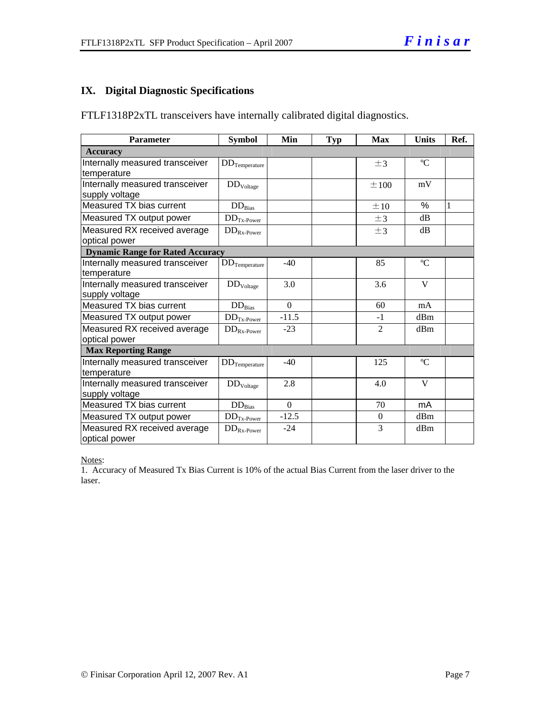#### **IX. Digital Diagnostic Specifications**

FTLF1318P2xTL transceivers have internally calibrated digital diagnostics.

| Parameter                                         | <b>Symbol</b>           | Min      | <b>Typ</b> | <b>Max</b>     | <b>Units</b> | Ref. |
|---------------------------------------------------|-------------------------|----------|------------|----------------|--------------|------|
| <b>Accuracy</b>                                   |                         |          |            |                |              |      |
| Internally measured transceiver<br>temperature    | $DD$ Temperature        |          |            | $\pm$ 3        | $\rm ^{o}C$  |      |
| Internally measured transceiver<br>supply voltage | $DD_{\rm Voltage}$      |          |            | $\pm 100$      | mV           |      |
| Measured TX bias current                          | $DD_{Bias}$             |          |            | ±10            | %            | 1    |
| Measured TX output power                          | $DDTx-Power$            |          |            | $\pm$ 3        | dB           |      |
| Measured RX received average<br>optical power     | $DD_{Rx\text{-}Power}$  |          |            | $\pm$ 3        | dB           |      |
| <b>Dynamic Range for Rated Accuracy</b>           |                         |          |            |                |              |      |
| Internally measured transceiver<br>temperature    | $\rm{DD}_{Temperature}$ | $-40$    |            | 85             | $\rm ^{o}C$  |      |
| Internally measured transceiver<br>supply voltage | DD <sub>Voltage</sub>   | 3.0      |            | 3.6            | V            |      |
| Measured TX bias current                          | $DD_{Bias}$             | $\Omega$ |            | 60             | mA           |      |
| Measured TX output power                          | $DD_{Tx\text{-Power}}$  | $-11.5$  |            | $-1$           | dBm          |      |
| Measured RX received average<br>optical power     | $DD_{Rx\text{-}Power}$  | $-23$    |            | $\mathfrak{D}$ | dBm          |      |
| <b>Max Reporting Range</b>                        |                         |          |            |                |              |      |
| Internally measured transceiver<br>temperature    | $DD_{Temperature}$      | $-40$    |            | 125            | $\rm ^{o}C$  |      |
| Internally measured transceiver<br>supply voltage | DD <sub>Voltage</sub>   | 2.8      |            | 4.0            | V            |      |
| Measured TX bias current                          | $DD_{Bias}$             | $\Omega$ |            | 70             | mA           |      |
| Measured TX output power                          | $DDTx-Power$            | $-12.5$  |            | $\overline{0}$ | dBm          |      |
| Measured RX received average<br>optical power     | $DD_{Rx\text{-}Power}$  | $-24$    |            | $\overline{3}$ | dBm          |      |

Notes:

1. Accuracy of Measured Tx Bias Current is 10% of the actual Bias Current from the laser driver to the laser.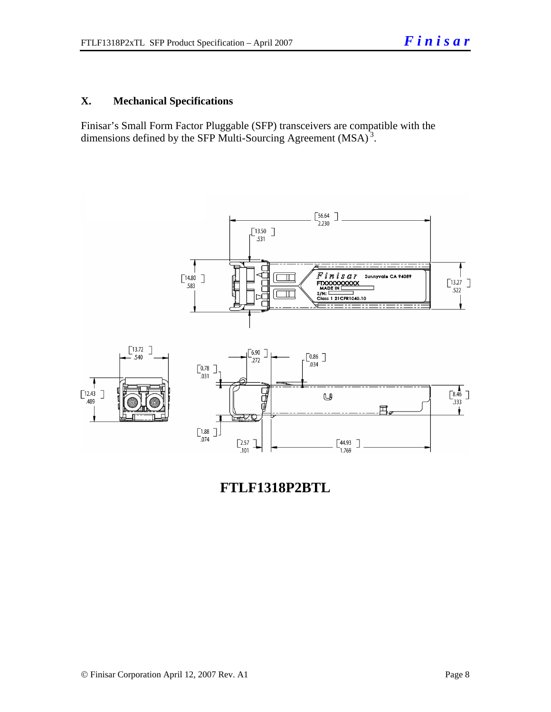#### **X. Mechanical Specifications**

Finisar's Small Form Factor Pluggable (SFP) transceivers are compatible with the dimensions defined by the SFP Multi-Sourcing Agreement (MSA)<sup>3</sup>.



**FTLF1318P2BTL**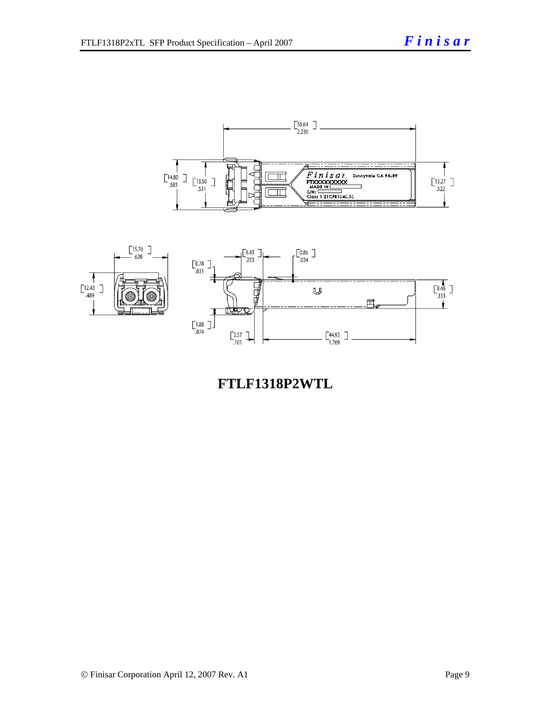

## **FTLF1318P2WTL**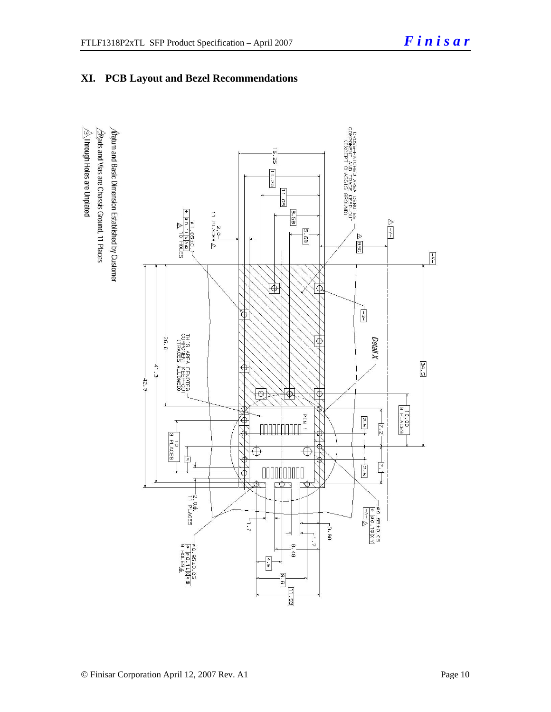### **XI. PCB Layout and Bezel Recommendations**

 $\hat{\triangle}$ Through Holes are Unplated  $\sqrt{2}$ Rads and Vias are Chassis Ground, 11 Places  $\sqrt{\mathbf{b}}$ atum and Basic Dimension Established by Customer

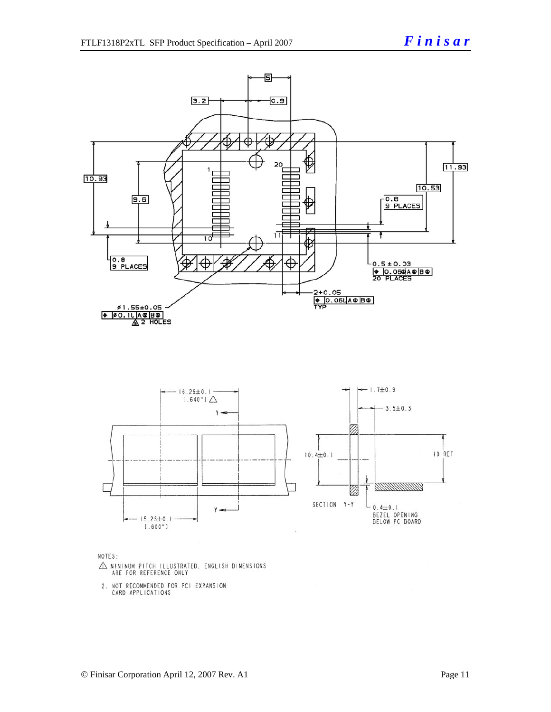



NOTES:

- $\triangle$  MINIMUM PITCH ILLUSTRATED, ENGLISH DIMENSIONS ARE FOR REFERENCE ONLY
- 2. NOT RECOMMENDED FOR PCI EXPANSION<br>CARD APPLICATIONS